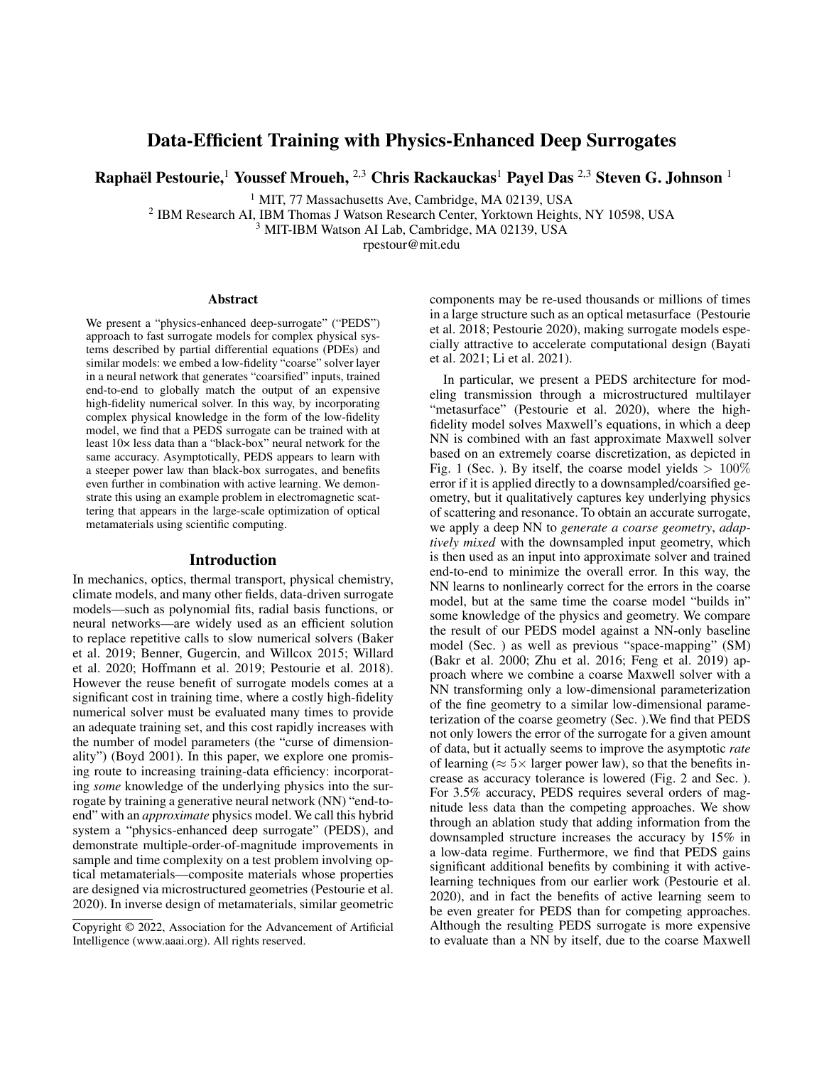# Data-Efficient Training with Physics-Enhanced Deep Surrogates

Raphaël Pestourie, $^1$  Youssef Mroueh,  $^{2,3}$  Chris Rackauckas $^1$  Payel Das  $^{2,3}$  Steven G. Johnson  $^1$ 

<sup>1</sup> MIT, 77 Massachusetts Ave, Cambridge, MA 02139, USA

<sup>2</sup> IBM Research AI, IBM Thomas J Watson Research Center, Yorktown Heights, NY 10598, USA

<sup>3</sup> MIT-IBM Watson AI Lab, Cambridge, MA 02139, USA

rpestour@mit.edu

#### Abstract

We present a "physics-enhanced deep-surrogate" ("PEDS") approach to fast surrogate models for complex physical systems described by partial differential equations (PDEs) and similar models: we embed a low-fidelity "coarse" solver layer in a neural network that generates "coarsified" inputs, trained end-to-end to globally match the output of an expensive high-fidelity numerical solver. In this way, by incorporating complex physical knowledge in the form of the low-fidelity model, we find that a PEDS surrogate can be trained with at least 10× less data than a "black-box" neural network for the same accuracy. Asymptotically, PEDS appears to learn with a steeper power law than black-box surrogates, and benefits even further in combination with active learning. We demonstrate this using an example problem in electromagnetic scattering that appears in the large-scale optimization of optical metamaterials using scientific computing.

#### Introduction

In mechanics, optics, thermal transport, physical chemistry, climate models, and many other fields, data-driven surrogate models—such as polynomial fits, radial basis functions, or neural networks—are widely used as an efficient solution to replace repetitive calls to slow numerical solvers (Baker et al. 2019; Benner, Gugercin, and Willcox 2015; Willard et al. 2020; Hoffmann et al. 2019; Pestourie et al. 2018). However the reuse benefit of surrogate models comes at a significant cost in training time, where a costly high-fidelity numerical solver must be evaluated many times to provide an adequate training set, and this cost rapidly increases with the number of model parameters (the "curse of dimensionality") (Boyd 2001). In this paper, we explore one promising route to increasing training-data efficiency: incorporating *some* knowledge of the underlying physics into the surrogate by training a generative neural network (NN) "end-toend" with an *approximate* physics model. We call this hybrid system a "physics-enhanced deep surrogate" (PEDS), and demonstrate multiple-order-of-magnitude improvements in sample and time complexity on a test problem involving optical metamaterials—composite materials whose properties are designed via microstructured geometries (Pestourie et al. 2020). In inverse design of metamaterials, similar geometric components may be re-used thousands or millions of times in a large structure such as an optical metasurface (Pestourie et al. 2018; Pestourie 2020), making surrogate models especially attractive to accelerate computational design (Bayati et al. 2021; Li et al. 2021).

In particular, we present a PEDS architecture for modeling transmission through a microstructured multilayer "metasurface" (Pestourie et al. 2020), where the highfidelity model solves Maxwell's equations, in which a deep NN is combined with an fast approximate Maxwell solver based on an extremely coarse discretization, as depicted in Fig. 1 (Sec. ). By itself, the coarse model yields  $> 100\%$ error if it is applied directly to a downsampled/coarsified geometry, but it qualitatively captures key underlying physics of scattering and resonance. To obtain an accurate surrogate, we apply a deep NN to *generate a coarse geometry*, *adaptively mixed* with the downsampled input geometry, which is then used as an input into approximate solver and trained end-to-end to minimize the overall error. In this way, the NN learns to nonlinearly correct for the errors in the coarse model, but at the same time the coarse model "builds in" some knowledge of the physics and geometry. We compare the result of our PEDS model against a NN-only baseline model (Sec. ) as well as previous "space-mapping" (SM) (Bakr et al. 2000; Zhu et al. 2016; Feng et al. 2019) approach where we combine a coarse Maxwell solver with a NN transforming only a low-dimensional parameterization of the fine geometry to a similar low-dimensional parameterization of the coarse geometry (Sec. ).We find that PEDS not only lowers the error of the surrogate for a given amount of data, but it actually seems to improve the asymptotic *rate* of learning ( $\approx$  5 $\times$  larger power law), so that the benefits increase as accuracy tolerance is lowered (Fig. 2 and Sec. ). For 3.5% accuracy, PEDS requires several orders of magnitude less data than the competing approaches. We show through an ablation study that adding information from the downsampled structure increases the accuracy by 15% in a low-data regime. Furthermore, we find that PEDS gains significant additional benefits by combining it with activelearning techniques from our earlier work (Pestourie et al. 2020), and in fact the benefits of active learning seem to be even greater for PEDS than for competing approaches. Although the resulting PEDS surrogate is more expensive to evaluate than a NN by itself, due to the coarse Maxwell

Copyright © 2022, Association for the Advancement of Artificial Intelligence (www.aaai.org). All rights reserved.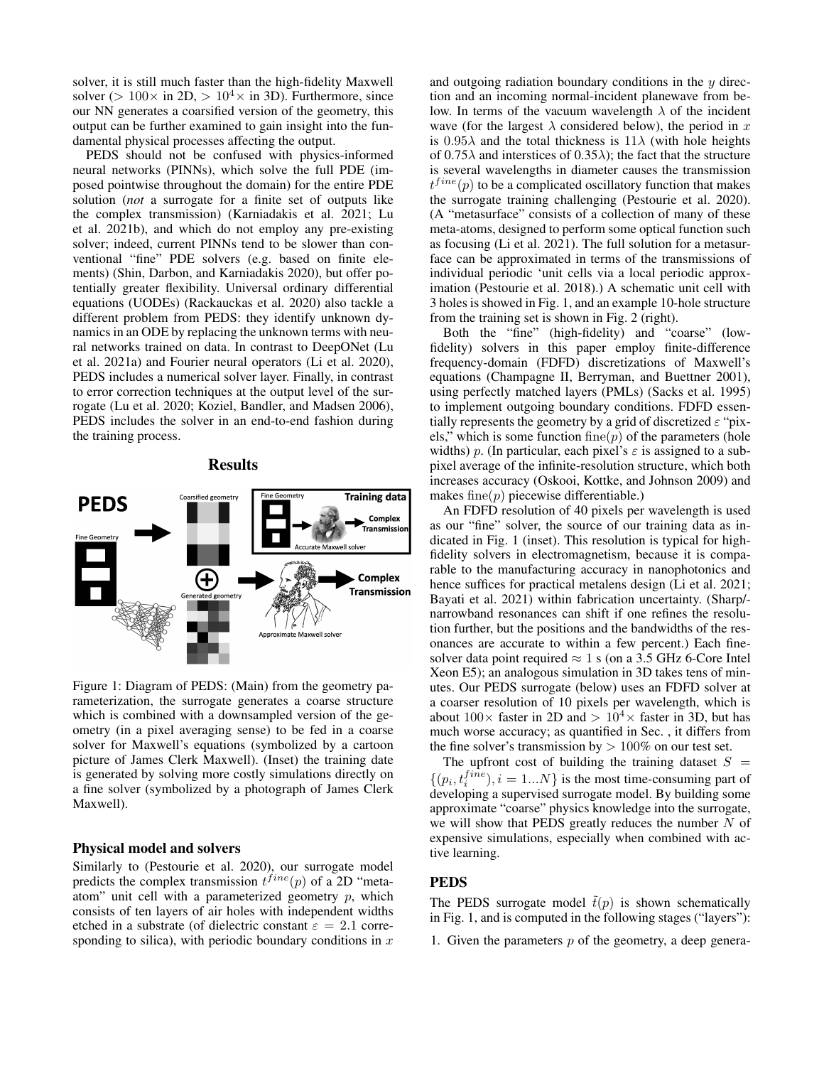solver, it is still much faster than the high-fidelity Maxwell solver (> 100 $\times$  in 2D, > 10<sup>4</sup> $\times$  in 3D). Furthermore, since our NN generates a coarsified version of the geometry, this output can be further examined to gain insight into the fundamental physical processes affecting the output.

PEDS should not be confused with physics-informed neural networks (PINNs), which solve the full PDE (imposed pointwise throughout the domain) for the entire PDE solution (*not* a surrogate for a finite set of outputs like the complex transmission) (Karniadakis et al. 2021; Lu et al. 2021b), and which do not employ any pre-existing solver; indeed, current PINNs tend to be slower than conventional "fine" PDE solvers (e.g. based on finite elements) (Shin, Darbon, and Karniadakis 2020), but offer potentially greater flexibility. Universal ordinary differential equations (UODEs) (Rackauckas et al. 2020) also tackle a different problem from PEDS: they identify unknown dynamics in an ODE by replacing the unknown terms with neural networks trained on data. In contrast to DeepONet (Lu et al. 2021a) and Fourier neural operators (Li et al. 2020), PEDS includes a numerical solver layer. Finally, in contrast to error correction techniques at the output level of the surrogate (Lu et al. 2020; Koziel, Bandler, and Madsen 2006), PEDS includes the solver in an end-to-end fashion during the training process.

### Results



Figure 1: Diagram of PEDS: (Main) from the geometry parameterization, the surrogate generates a coarse structure which is combined with a downsampled version of the geometry (in a pixel averaging sense) to be fed in a coarse solver for Maxwell's equations (symbolized by a cartoon picture of James Clerk Maxwell). (Inset) the training date is generated by solving more costly simulations directly on a fine solver (symbolized by a photograph of James Clerk Maxwell).

#### Physical model and solvers

Similarly to (Pestourie et al. 2020), our surrogate model predicts the complex transmission  $t^{fine}(p)$  of a 2D "metaatom" unit cell with a parameterized geometry  $p$ , which consists of ten layers of air holes with independent widths etched in a substrate (of dielectric constant  $\varepsilon = 2.1$  corresponding to silica), with periodic boundary conditions in  $x$  and outgoing radiation boundary conditions in the  $y$  direction and an incoming normal-incident planewave from below. In terms of the vacuum wavelength  $\lambda$  of the incident wave (for the largest  $\lambda$  considered below), the period in x is  $0.95\lambda$  and the total thickness is  $11\lambda$  (with hole heights of  $0.75\lambda$  and interstices of  $0.35\lambda$ ); the fact that the structure is several wavelengths in diameter causes the transmission  $t^{fine}(p)$  to be a complicated oscillatory function that makes the surrogate training challenging (Pestourie et al. 2020). (A "metasurface" consists of a collection of many of these meta-atoms, designed to perform some optical function such as focusing (Li et al. 2021). The full solution for a metasurface can be approximated in terms of the transmissions of individual periodic 'unit cells via a local periodic approximation (Pestourie et al. 2018).) A schematic unit cell with 3 holes is showed in Fig. 1, and an example 10-hole structure from the training set is shown in Fig. 2 (right).

Both the "fine" (high-fidelity) and "coarse" (lowfidelity) solvers in this paper employ finite-difference frequency-domain (FDFD) discretizations of Maxwell's equations (Champagne II, Berryman, and Buettner 2001), using perfectly matched layers (PMLs) (Sacks et al. 1995) to implement outgoing boundary conditions. FDFD essentially represents the geometry by a grid of discretized  $\varepsilon$  "pixels," which is some function fine( $p$ ) of the parameters (hole widths) p. (In particular, each pixel's  $\varepsilon$  is assigned to a subpixel average of the infinite-resolution structure, which both increases accuracy (Oskooi, Kottke, and Johnson 2009) and makes fine $(p)$  piecewise differentiable.)

An FDFD resolution of 40 pixels per wavelength is used as our "fine" solver, the source of our training data as indicated in Fig. 1 (inset). This resolution is typical for highfidelity solvers in electromagnetism, because it is comparable to the manufacturing accuracy in nanophotonics and hence suffices for practical metalens design (Li et al. 2021; Bayati et al. 2021) within fabrication uncertainty. (Sharp/ narrowband resonances can shift if one refines the resolution further, but the positions and the bandwidths of the resonances are accurate to within a few percent.) Each finesolver data point required  $\approx 1$  s (on a 3.5 GHz 6-Core Intel Xeon E5); an analogous simulation in 3D takes tens of minutes. Our PEDS surrogate (below) uses an FDFD solver at a coarser resolution of 10 pixels per wavelength, which is about  $100\times$  faster in 2D and  $> 10<sup>4</sup>\times$  faster in 3D, but has much worse accuracy; as quantified in Sec. , it differs from the fine solver's transmission by  $> 100\%$  on our test set.

The upfront cost of building the training dataset  $S =$  $\{(p_i, t_i^{fine}), i = 1...N\}$  is the most time-consuming part of developing a supervised surrogate model. By building some approximate "coarse" physics knowledge into the surrogate, we will show that PEDS greatly reduces the number  $N$  of expensive simulations, especially when combined with active learning.

#### PEDS

The PEDS surrogate model  $\tilde{t}(p)$  is shown schematically in Fig. 1, and is computed in the following stages ("layers"):

1. Given the parameters  $p$  of the geometry, a deep genera-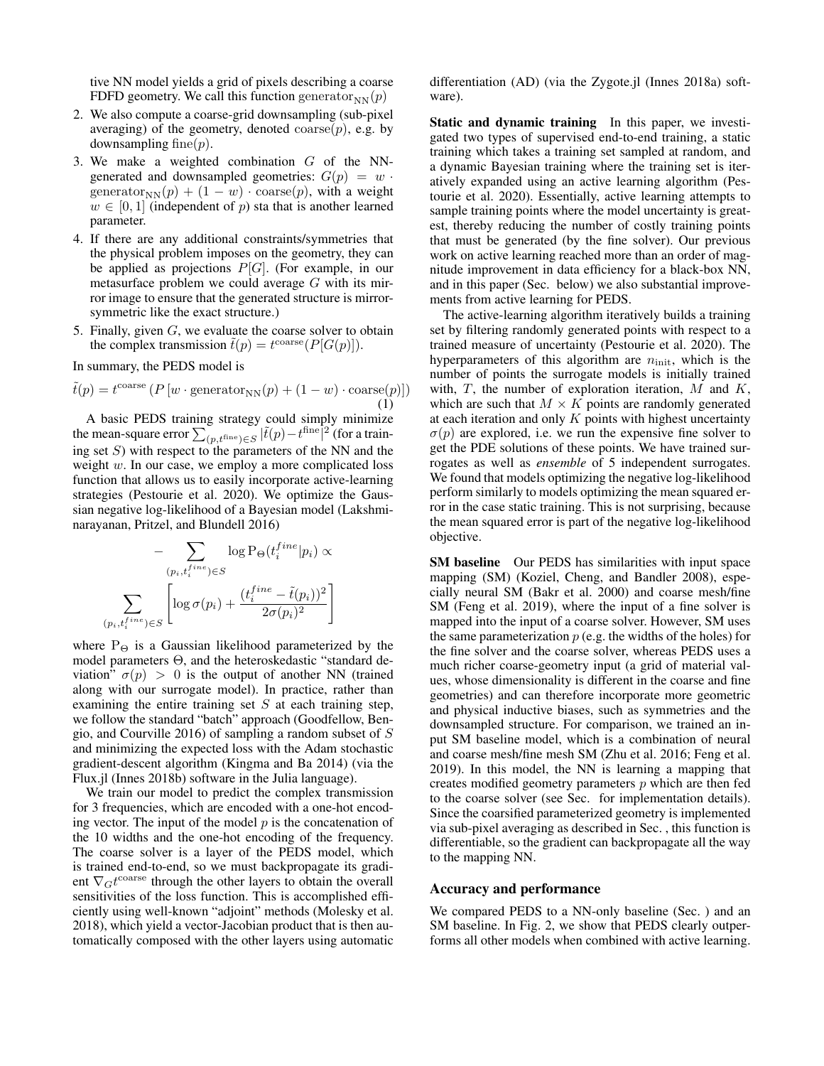tive NN model yields a grid of pixels describing a coarse FDFD geometry. We call this function generator $_{NN}(p)$ 

- 2. We also compute a coarse-grid downsampling (sub-pixel averaging) of the geometry, denoted  $\text{coarse}(p)$ , e.g. by downsampling fine( $p$ ).
- 3. We make a weighted combination  $G$  of the NNgenerated and downsampled geometries:  $G(p) = w$ . generator<sub>NN</sub> $(p) + (1 - w) \cdot \text{coarse}(p)$ , with a weight  $w \in [0, 1]$  (independent of p) sta that is another learned parameter.
- 4. If there are any additional constraints/symmetries that the physical problem imposes on the geometry, they can be applied as projections  $P[G]$ . (For example, in our metasurface problem we could average  $G$  with its mirror image to ensure that the generated structure is mirrorsymmetric like the exact structure.)
- 5. Finally, given  $G$ , we evaluate the coarse solver to obtain the complex transmission  $\tilde{t}(p) = t^{\text{coarse}}(P[G(p)]).$

In summary, the PEDS model is

$$
\tilde{t}(p) = t^{\text{coarse}} \left( P \left[ w \cdot \text{generator}_{\text{NN}}(p) + (1 - w) \cdot \text{coarse}(p) \right] \right)
$$
\n(1)

A basic PEDS training strategy could simply minimize the mean-square error  $\sum_{(p,t^{\text{fine}}) \in S} |\tilde{t}(p) - t^{\text{fine}}|^2$  (for a training set  $S$ ) with respect to the parameters of the NN and the weight  $w$ . In our case, we employ a more complicated loss function that allows us to easily incorporate active-learning strategies (Pestourie et al. 2020). We optimize the Gaussian negative log-likelihood of a Bayesian model (Lakshminarayanan, Pritzel, and Blundell 2016)

$$
- \sum_{\substack{(p_i, t_i^{fine}) \in S}} \log \mathcal{P}_{\Theta}(t_i^{fine} | p_i) \propto
$$

$$
\sum_{\substack{(p_i, t_i^{fine}) \in S}} \left[ \log \sigma(p_i) + \frac{(t_i^{fine} - \tilde{t}(p_i))^2}{2\sigma(p_i)^2} \right]
$$

where  $P_{\Theta}$  is a Gaussian likelihood parameterized by the model parameters Θ, and the heteroskedastic "standard deviation"  $\sigma(p) > 0$  is the output of another NN (trained along with our surrogate model). In practice, rather than examining the entire training set  $S$  at each training step, we follow the standard "batch" approach (Goodfellow, Bengio, and Courville 2016) of sampling a random subset of S and minimizing the expected loss with the Adam stochastic gradient-descent algorithm (Kingma and Ba 2014) (via the Flux.jl (Innes 2018b) software in the Julia language).

We train our model to predict the complex transmission for 3 frequencies, which are encoded with a one-hot encoding vector. The input of the model  $p$  is the concatenation of the 10 widths and the one-hot encoding of the frequency. The coarse solver is a layer of the PEDS model, which is trained end-to-end, so we must backpropagate its gradient  $\nabla_G t^{\text{coarse}}$  through the other layers to obtain the overall sensitivities of the loss function. This is accomplished efficiently using well-known "adjoint" methods (Molesky et al. 2018), which yield a vector-Jacobian product that is then automatically composed with the other layers using automatic

differentiation (AD) (via the Zygote.jl (Innes 2018a) software).

Static and dynamic training In this paper, we investigated two types of supervised end-to-end training, a static training which takes a training set sampled at random, and a dynamic Bayesian training where the training set is iteratively expanded using an active learning algorithm (Pestourie et al. 2020). Essentially, active learning attempts to sample training points where the model uncertainty is greatest, thereby reducing the number of costly training points that must be generated (by the fine solver). Our previous work on active learning reached more than an order of magnitude improvement in data efficiency for a black-box NN, and in this paper (Sec. below) we also substantial improvements from active learning for PEDS.

The active-learning algorithm iteratively builds a training set by filtering randomly generated points with respect to a trained measure of uncertainty (Pestourie et al. 2020). The hyperparameters of this algorithm are  $n_{\text{init}}$ , which is the number of points the surrogate models is initially trained with,  $T$ , the number of exploration iteration,  $M$  and  $K$ , which are such that  $M \times K$  points are randomly generated at each iteration and only  $K$  points with highest uncertainty  $\sigma(p)$  are explored, i.e. we run the expensive fine solver to get the PDE solutions of these points. We have trained surrogates as well as *ensemble* of 5 independent surrogates. We found that models optimizing the negative log-likelihood perform similarly to models optimizing the mean squared error in the case static training. This is not surprising, because the mean squared error is part of the negative log-likelihood objective.

SM baseline Our PEDS has similarities with input space mapping (SM) (Koziel, Cheng, and Bandler 2008), especially neural SM (Bakr et al. 2000) and coarse mesh/fine SM (Feng et al. 2019), where the input of a fine solver is mapped into the input of a coarse solver. However, SM uses the same parameterization  $p$  (e.g. the widths of the holes) for the fine solver and the coarse solver, whereas PEDS uses a much richer coarse-geometry input (a grid of material values, whose dimensionality is different in the coarse and fine geometries) and can therefore incorporate more geometric and physical inductive biases, such as symmetries and the downsampled structure. For comparison, we trained an input SM baseline model, which is a combination of neural and coarse mesh/fine mesh SM (Zhu et al. 2016; Feng et al. 2019). In this model, the NN is learning a mapping that creates modified geometry parameters  $p$  which are then fed to the coarse solver (see Sec. for implementation details). Since the coarsified parameterized geometry is implemented via sub-pixel averaging as described in Sec. , this function is differentiable, so the gradient can backpropagate all the way to the mapping NN.

### Accuracy and performance

We compared PEDS to a NN-only baseline (Sec. ) and an SM baseline. In Fig. 2, we show that PEDS clearly outperforms all other models when combined with active learning.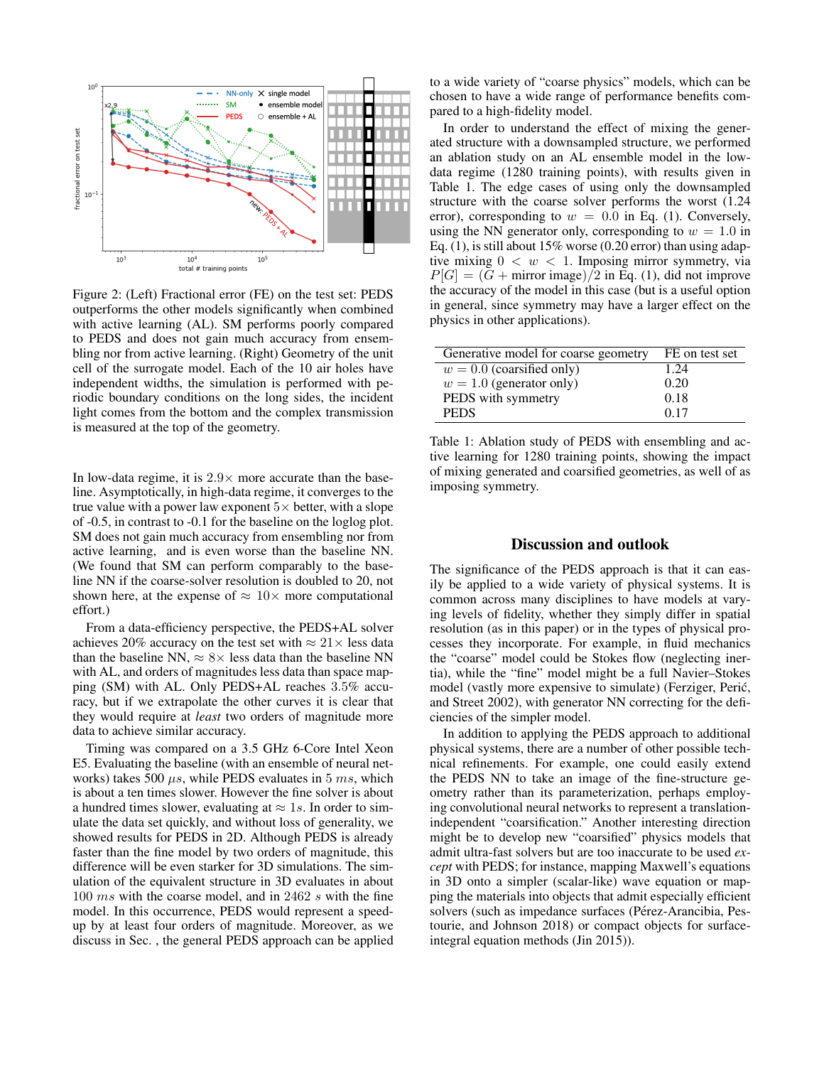

Figure 2: (Left) Fractional error (FE) on the test set: PEDS outperforms the other models significantly when combined with active learning (AL). SM performs poorly compared to PEDS and does not gain much accuracy from ensembling nor from active learning. (Right) Geometry of the unit cell of the surrogate model. Each of the 10 air holes have independent widths, the simulation is performed with periodic boundary conditions on the long sides, the incident light comes from the bottom and the complex transmission is measured at the top of the geometry.

In low-data regime, it is  $2.9 \times$  more accurate than the baseline. Asymptotically, in high-data regime, it converges to the true value with a power law exponent  $5\times$  better, with a slope of -0.5, in contrast to -0.1 for the baseline on the loglog plot. SM does not gain much accuracy from ensembling nor from active learning, and is even worse than the baseline NN. (We found that SM can perform comparably to the baseline NN if the coarse-solver resolution is doubled to 20, not shown here, at the expense of  $\approx 10\times$  more computational effort.)

From a data-efficiency perspective, the PEDS+AL solver achieves 20% accuracy on the test set with  $\approx 21 \times$  less data than the baseline NN,  $\approx 8 \times$  less data than the baseline NN with AL, and orders of magnitudes less data than space mapping (SM) with AL. Only PEDS+AL reaches 3.5% accuracy, but if we extrapolate the other curves it is clear that they would require at *least* two orders of magnitude more data to achieve similar accuracy.

Timing was compared on a 3.5 GHz 6-Core Intel Xeon E5. Evaluating the baseline (with an ensemble of neural networks) takes 500  $\mu s$ , while PEDS evaluates in 5 ms, which is about a ten times slower. However the fine solver is about a hundred times slower, evaluating at  $\approx 1s$ . In order to simulate the data set quickly, and without loss of generality, we showed results for PEDS in 2D. Although PEDS is already faster than the fine model by two orders of magnitude, this difference will be even starker for 3D simulations. The simulation of the equivalent structure in 3D evaluates in about 100 ms with the coarse model, and in 2462 s with the fine model. In this occurrence, PEDS would represent a speedup by at least four orders of magnitude. Moreover, as we discuss in Sec. , the general PEDS approach can be applied to a wide variety of "coarse physics" models, which can be chosen to have a wide range of performance benefits compared to a high-fidelity model.

In order to understand the effect of mixing the generated structure with a downsampled structure, we performed an ablation study on an AL ensemble model in the lowdata regime (1280 training points), with results given in Table 1. The edge cases of using only the downsampled structure with the coarse solver performs the worst (1.24 error), corresponding to  $w = 0.0$  in Eq. (1). Conversely, using the NN generator only, corresponding to  $w = 1.0$  in Eq. (1), is still about  $15\%$  worse (0.20 error) than using adaptive mixing  $0 < w < 1$ . Imposing mirror symmetry, via  $P[G] = (G + \text{mirror image})/2$  in Eq. (1), did not improve the accuracy of the model in this case (but is a useful option in general, since symmetry may have a larger effect on the physics in other applications).

| Generative model for coarse geometry | FE on test set |
|--------------------------------------|----------------|
| $w = 0.0$ (coarsified only)          | 1.24           |
| $w = 1.0$ (generator only)           | 0.20           |
| PEDS with symmetry                   | 0.18           |
| <b>PEDS</b>                          | 0.17           |

Table 1: Ablation study of PEDS with ensembling and active learning for 1280 training points, showing the impact of mixing generated and coarsified geometries, as well of as imposing symmetry.

### Discussion and outlook

The significance of the PEDS approach is that it can easily be applied to a wide variety of physical systems. It is common across many disciplines to have models at varying levels of fidelity, whether they simply differ in spatial resolution (as in this paper) or in the types of physical processes they incorporate. For example, in fluid mechanics the "coarse" model could be Stokes flow (neglecting inertia), while the "fine" model might be a full Navier–Stokes model (vastly more expensive to simulate) (Ferziger, Peric,´ and Street 2002), with generator NN correcting for the deficiencies of the simpler model.

In addition to applying the PEDS approach to additional physical systems, there are a number of other possible technical refinements. For example, one could easily extend the PEDS NN to take an image of the fine-structure geometry rather than its parameterization, perhaps employing convolutional neural networks to represent a translationindependent "coarsification." Another interesting direction might be to develop new "coarsified" physics models that admit ultra-fast solvers but are too inaccurate to be used *except* with PEDS; for instance, mapping Maxwell's equations in 3D onto a simpler (scalar-like) wave equation or mapping the materials into objects that admit especially efficient solvers (such as impedance surfaces (Pérez-Arancibia, Pestourie, and Johnson 2018) or compact objects for surfaceintegral equation methods (Jin 2015)).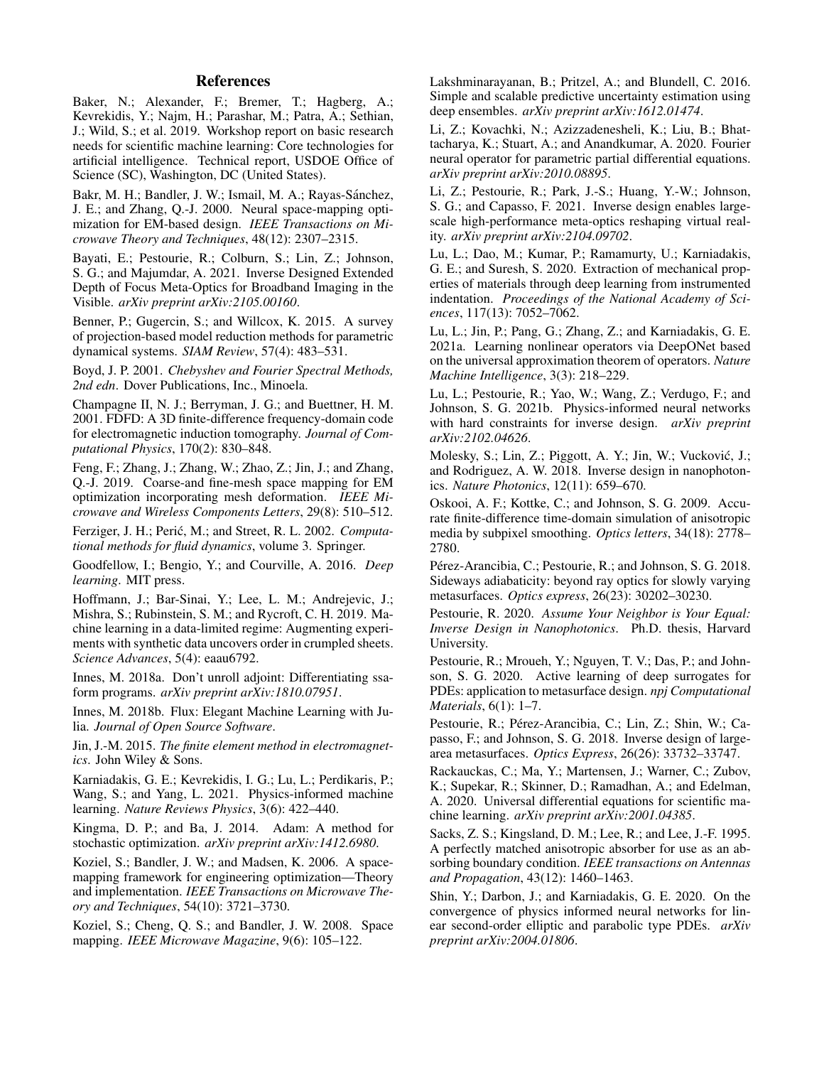## References

Baker, N.; Alexander, F.; Bremer, T.; Hagberg, A.; Kevrekidis, Y.; Najm, H.; Parashar, M.; Patra, A.; Sethian, J.; Wild, S.; et al. 2019. Workshop report on basic research needs for scientific machine learning: Core technologies for artificial intelligence. Technical report, USDOE Office of Science (SC), Washington, DC (United States).

Bakr, M. H.; Bandler, J. W.; Ismail, M. A.; Rayas-Sánchez, J. E.; and Zhang, Q.-J. 2000. Neural space-mapping optimization for EM-based design. *IEEE Transactions on Microwave Theory and Techniques*, 48(12): 2307–2315.

Bayati, E.; Pestourie, R.; Colburn, S.; Lin, Z.; Johnson, S. G.; and Majumdar, A. 2021. Inverse Designed Extended Depth of Focus Meta-Optics for Broadband Imaging in the Visible. *arXiv preprint arXiv:2105.00160*.

Benner, P.; Gugercin, S.; and Willcox, K. 2015. A survey of projection-based model reduction methods for parametric dynamical systems. *SIAM Review*, 57(4): 483–531.

Boyd, J. P. 2001. *Chebyshev and Fourier Spectral Methods, 2nd edn*. Dover Publications, Inc., Minoela.

Champagne II, N. J.; Berryman, J. G.; and Buettner, H. M. 2001. FDFD: A 3D finite-difference frequency-domain code for electromagnetic induction tomography. *Journal of Computational Physics*, 170(2): 830–848.

Feng, F.; Zhang, J.; Zhang, W.; Zhao, Z.; Jin, J.; and Zhang, Q.-J. 2019. Coarse-and fine-mesh space mapping for EM optimization incorporating mesh deformation. *IEEE Microwave and Wireless Components Letters*, 29(8): 510–512.

Ferziger, J. H.; Perić, M.; and Street, R. L. 2002. *Computational methods for fluid dynamics*, volume 3. Springer.

Goodfellow, I.; Bengio, Y.; and Courville, A. 2016. *Deep learning*. MIT press.

Hoffmann, J.; Bar-Sinai, Y.; Lee, L. M.; Andrejevic, J.; Mishra, S.; Rubinstein, S. M.; and Rycroft, C. H. 2019. Machine learning in a data-limited regime: Augmenting experiments with synthetic data uncovers order in crumpled sheets. *Science Advances*, 5(4): eaau6792.

Innes, M. 2018a. Don't unroll adjoint: Differentiating ssaform programs. *arXiv preprint arXiv:1810.07951*.

Innes, M. 2018b. Flux: Elegant Machine Learning with Julia. *Journal of Open Source Software*.

Jin, J.-M. 2015. *The finite element method in electromagnetics*. John Wiley & Sons.

Karniadakis, G. E.; Kevrekidis, I. G.; Lu, L.; Perdikaris, P.; Wang, S.; and Yang, L. 2021. Physics-informed machine learning. *Nature Reviews Physics*, 3(6): 422–440.

Kingma, D. P.; and Ba, J. 2014. Adam: A method for stochastic optimization. *arXiv preprint arXiv:1412.6980*.

Koziel, S.; Bandler, J. W.; and Madsen, K. 2006. A spacemapping framework for engineering optimization—Theory and implementation. *IEEE Transactions on Microwave Theory and Techniques*, 54(10): 3721–3730.

Koziel, S.; Cheng, Q. S.; and Bandler, J. W. 2008. Space mapping. *IEEE Microwave Magazine*, 9(6): 105–122.

Lakshminarayanan, B.; Pritzel, A.; and Blundell, C. 2016. Simple and scalable predictive uncertainty estimation using deep ensembles. *arXiv preprint arXiv:1612.01474*.

Li, Z.; Kovachki, N.; Azizzadenesheli, K.; Liu, B.; Bhattacharya, K.; Stuart, A.; and Anandkumar, A. 2020. Fourier neural operator for parametric partial differential equations. *arXiv preprint arXiv:2010.08895*.

Li, Z.; Pestourie, R.; Park, J.-S.; Huang, Y.-W.; Johnson, S. G.; and Capasso, F. 2021. Inverse design enables largescale high-performance meta-optics reshaping virtual reality. *arXiv preprint arXiv:2104.09702*.

Lu, L.; Dao, M.; Kumar, P.; Ramamurty, U.; Karniadakis, G. E.; and Suresh, S. 2020. Extraction of mechanical properties of materials through deep learning from instrumented indentation. *Proceedings of the National Academy of Sciences*, 117(13): 7052–7062.

Lu, L.; Jin, P.; Pang, G.; Zhang, Z.; and Karniadakis, G. E. 2021a. Learning nonlinear operators via DeepONet based on the universal approximation theorem of operators. *Nature Machine Intelligence*, 3(3): 218–229.

Lu, L.; Pestourie, R.; Yao, W.; Wang, Z.; Verdugo, F.; and Johnson, S. G. 2021b. Physics-informed neural networks with hard constraints for inverse design. *arXiv preprint arXiv:2102.04626*.

Molesky, S.; Lin, Z.; Piggott, A. Y.; Jin, W.; Vuckovic, J.; ´ and Rodriguez, A. W. 2018. Inverse design in nanophotonics. *Nature Photonics*, 12(11): 659–670.

Oskooi, A. F.; Kottke, C.; and Johnson, S. G. 2009. Accurate finite-difference time-domain simulation of anisotropic media by subpixel smoothing. *Optics letters*, 34(18): 2778– 2780.

Pérez-Arancibia, C.; Pestourie, R.; and Johnson, S. G. 2018. Sideways adiabaticity: beyond ray optics for slowly varying metasurfaces. *Optics express*, 26(23): 30202–30230.

Pestourie, R. 2020. *Assume Your Neighbor is Your Equal: Inverse Design in Nanophotonics*. Ph.D. thesis, Harvard University.

Pestourie, R.; Mroueh, Y.; Nguyen, T. V.; Das, P.; and Johnson, S. G. 2020. Active learning of deep surrogates for PDEs: application to metasurface design. *npj Computational Materials*, 6(1): 1–7.

Pestourie, R.; Pérez-Arancibia, C.; Lin, Z.; Shin, W.; Capasso, F.; and Johnson, S. G. 2018. Inverse design of largearea metasurfaces. *Optics Express*, 26(26): 33732–33747.

Rackauckas, C.; Ma, Y.; Martensen, J.; Warner, C.; Zubov, K.; Supekar, R.; Skinner, D.; Ramadhan, A.; and Edelman, A. 2020. Universal differential equations for scientific machine learning. *arXiv preprint arXiv:2001.04385*.

Sacks, Z. S.; Kingsland, D. M.; Lee, R.; and Lee, J.-F. 1995. A perfectly matched anisotropic absorber for use as an absorbing boundary condition. *IEEE transactions on Antennas and Propagation*, 43(12): 1460–1463.

Shin, Y.; Darbon, J.; and Karniadakis, G. E. 2020. On the convergence of physics informed neural networks for linear second-order elliptic and parabolic type PDEs. *arXiv preprint arXiv:2004.01806*.